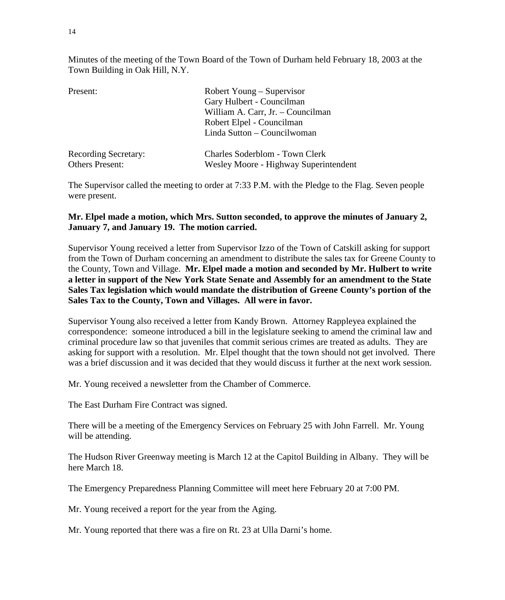Minutes of the meeting of the Town Board of the Town of Durham held February 18, 2003 at the Town Building in Oak Hill, N.Y.

| Present:                    | Robert Young – Supervisor             |  |  |
|-----------------------------|---------------------------------------|--|--|
|                             | Gary Hulbert - Councilman             |  |  |
|                             | William A. Carr, Jr. - Councilman     |  |  |
|                             | Robert Elpel - Councilman             |  |  |
|                             | Linda Sutton – Councilwoman           |  |  |
| <b>Recording Secretary:</b> | Charles Soderblom - Town Clerk        |  |  |
| <b>Others Present:</b>      | Wesley Moore - Highway Superintendent |  |  |

The Supervisor called the meeting to order at 7:33 P.M. with the Pledge to the Flag. Seven people were present.

## **Mr. Elpel made a motion, which Mrs. Sutton seconded, to approve the minutes of January 2, January 7, and January 19. The motion carried.**

Supervisor Young received a letter from Supervisor Izzo of the Town of Catskill asking for support from the Town of Durham concerning an amendment to distribute the sales tax for Greene County to the County, Town and Village. **Mr. Elpel made a motion and seconded by Mr. Hulbert to write a letter in support of the New York State Senate and Assembly for an amendment to the State Sales Tax legislation which would mandate the distribution of Greene County's portion of the Sales Tax to the County, Town and Villages. All were in favor.**

Supervisor Young also received a letter from Kandy Brown. Attorney Rappleyea explained the correspondence: someone introduced a bill in the legislature seeking to amend the criminal law and criminal procedure law so that juveniles that commit serious crimes are treated as adults. They are asking for support with a resolution. Mr. Elpel thought that the town should not get involved. There was a brief discussion and it was decided that they would discuss it further at the next work session.

Mr. Young received a newsletter from the Chamber of Commerce.

The East Durham Fire Contract was signed.

There will be a meeting of the Emergency Services on February 25 with John Farrell. Mr. Young will be attending.

The Hudson River Greenway meeting is March 12 at the Capitol Building in Albany. They will be here March 18.

The Emergency Preparedness Planning Committee will meet here February 20 at 7:00 PM.

Mr. Young received a report for the year from the Aging.

Mr. Young reported that there was a fire on Rt. 23 at Ulla Darni's home.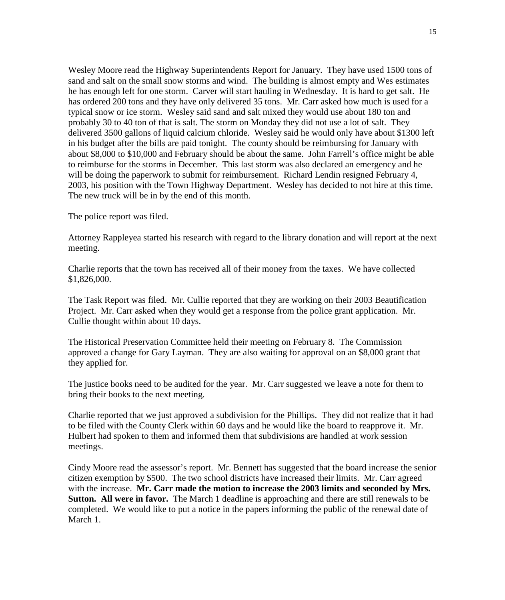Wesley Moore read the Highway Superintendents Report for January. They have used 1500 tons of sand and salt on the small snow storms and wind. The building is almost empty and Wes estimates he has enough left for one storm. Carver will start hauling in Wednesday. It is hard to get salt. He has ordered 200 tons and they have only delivered 35 tons. Mr. Carr asked how much is used for a typical snow or ice storm. Wesley said sand and salt mixed they would use about 180 ton and probably 30 to 40 ton of that is salt. The storm on Monday they did not use a lot of salt. They delivered 3500 gallons of liquid calcium chloride. Wesley said he would only have about \$1300 left in his budget after the bills are paid tonight. The county should be reimbursing for January with about \$8,000 to \$10,000 and February should be about the same. John Farrell's office might be able to reimburse for the storms in December. This last storm was also declared an emergency and he will be doing the paperwork to submit for reimbursement. Richard Lendin resigned February 4, 2003, his position with the Town Highway Department. Wesley has decided to not hire at this time. The new truck will be in by the end of this month.

The police report was filed.

Attorney Rappleyea started his research with regard to the library donation and will report at the next meeting.

Charlie reports that the town has received all of their money from the taxes. We have collected \$1,826,000.

The Task Report was filed. Mr. Cullie reported that they are working on their 2003 Beautification Project. Mr. Carr asked when they would get a response from the police grant application. Mr. Cullie thought within about 10 days.

The Historical Preservation Committee held their meeting on February 8. The Commission approved a change for Gary Layman. They are also waiting for approval on an \$8,000 grant that they applied for.

The justice books need to be audited for the year. Mr. Carr suggested we leave a note for them to bring their books to the next meeting.

Charlie reported that we just approved a subdivision for the Phillips. They did not realize that it had to be filed with the County Clerk within 60 days and he would like the board to reapprove it. Mr. Hulbert had spoken to them and informed them that subdivisions are handled at work session meetings.

Cindy Moore read the assessor's report. Mr. Bennett has suggested that the board increase the senior citizen exemption by \$500. The two school districts have increased their limits. Mr. Carr agreed with the increase. **Mr. Carr made the motion to increase the 2003 limits and seconded by Mrs. Sutton. All were in favor.** The March 1 deadline is approaching and there are still renewals to be completed. We would like to put a notice in the papers informing the public of the renewal date of March 1.